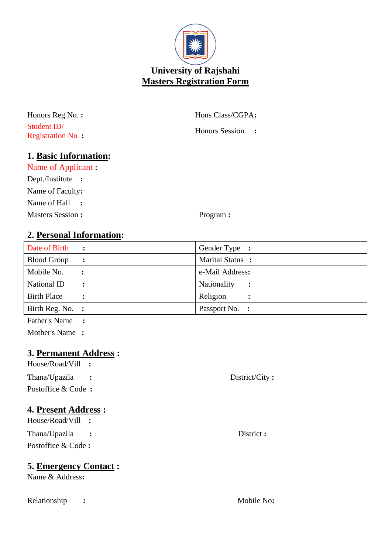

Student ID/ Registration No **:**

Honors Reg No. **:** Hons Class/CGPA**:**

Honors Session **:**

## **1. Basic Information:**

Name of Applicant **:** Dept./Institute **:** Name of Faculty**:** Name of Hall **:**

Masters Session **:** Program **:** 

## **2. Personal Information:**

| Date of Birth      | $\sim$ $\sim$  | Gender Type :                       |
|--------------------|----------------|-------------------------------------|
| <b>Blood Group</b> | $\ddot{\cdot}$ | Marital Status :                    |
| Mobile No.         |                | e-Mail Address:                     |
| National ID        | $\ddot{\cdot}$ | Nationality<br>$\ddot{\phantom{1}}$ |
| <b>Birth Place</b> |                | Religion                            |
| Birth Reg. No. :   |                | Passport No. :                      |
| Father's Name      |                |                                     |

Mother's Name **:**

## **3. Permanent Address :**

| House/Road/Vill :             |                |
|-------------------------------|----------------|
|                               |                |
| Thana/Upazila<br>$\mathbf{L}$ | District/City: |
| Postoffice & Code:            |                |
| <b>4. Present Address :</b>   |                |
| House/Road/Vill :             |                |
| ___                           |                |

Thana/Upazila **:** District **:** Postoffice & Code **:**

## **5. Emergency Contact :**

Name & Address**:**

Relationship **:** Mobile No**:**